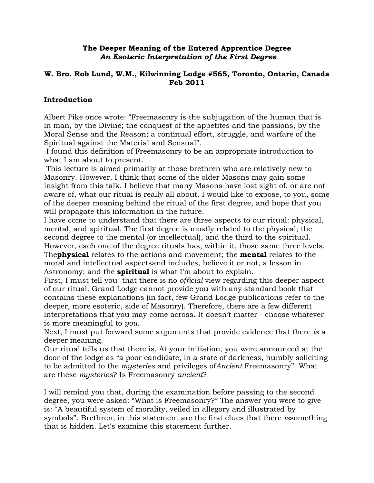#### **The Deeper Meaning of the Entered Apprentice Degree** *An Esoteric Interpretation of the First Degree*

#### **W. Bro. Rob Lund, W.M., Kilwinning Lodge #565, Toronto, Ontario, Canada Feb 2011**

#### **Introduction**

Albert Pike once wrote: "Freemasonry is the subjugation of the human that is in man, by the Divine; the conquest of the appetites and the passions, by the Moral Sense and the Reason; a continual effort, struggle, and warfare of the Spiritual against the Material and Sensual".

I found this definition of Freemasonry to be an appropriate introduction to what I am about to present.

This lecture is aimed primarily at those brethren who are relatively new to Masonry. However, I think that some of the older Masons may gain some insight from this talk. I believe that many Masons have lost sight of, or are not aware of, what our ritual is really all about. I would like to expose, to you, some of the deeper meaning behind the ritual of the first degree, and hope that you will propagate this information in the future.

I have come to understand that there are three aspects to our ritual: physical, mental, and spiritual. The first degree is mostly related to the physical; the second degree to the mental (or intellectual), and the third to the spiritual. However, each one of the degree rituals has, within it, those same three levels. The**physical** relates to the actions and movement; the **mental** relates to the moral and intellectual aspectsand includes, believe it or not, a lesson in Astronomy; and the **spiritual** is what I'm about to explain.

First, I must tell you that there is no *official* view regarding this deeper aspect of our ritual. Grand Lodge cannot provide you with any standard book that contains these explanations (in fact, few Grand Lodge publications refer to the deeper, more esoteric, side of Masonry). Therefore, there are a few different interpretations that you may come across. It doesn't matter - choose whatever is more meaningful to *you*.

Next, I must put forward some arguments that provide evidence that there *is* a deeper meaning.

Our ritual tells us that there is. At your initiation, you were announced at the door of the lodge as "a poor candidate, in a state of darkness, humbly soliciting to be admitted to the *mysteries* and privileges of*Ancient* Freemasonry". What are these *mysteries*? Is Freemasonry *ancient*?

I will remind you that, during the examination before passing to the second degree, you were asked: "What is Freemasonry?" The answer you were to give is: "A beautiful system of morality, veiled in allegory and illustrated by symbols". Brethren, in this statement are the first clues that there *is*something that is hidden. Let's examine this statement further.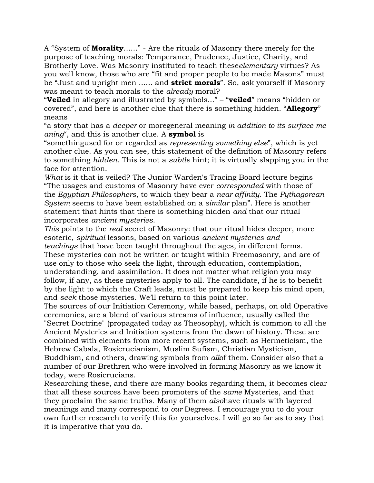A "System of **Morality**......" - Are the rituals of Masonry there merely for the purpose of teaching morals: Temperance, Prudence, Justice, Charity, and Brotherly Love. Was Masonry instituted to teach these*elementary* virtues? As you well know, those who are "fit and proper people to be made Masons" must be "Just and upright men ...... and **strict morals**". So, ask yourself if Masonry was meant to teach morals to the *already* moral?

"**Veiled** in allegory and illustrated by symbols..." – "**veiled**" means "hidden or covered", and here is another clue that there is something hidden. "**Allegory**" means

"a story that has a *deeper* or moregeneral meaning *in addition to its surface me aning*", and this is another clue. A **symbol** is

"somethingused for or regarded as *representing something else*", which is yet another clue. As you can see, this statement of the definition of Masonry refers to something *hidden*. This is not a *subtle* hint; it is virtually slapping you in the face for attention.

*What* is it that is veiled? The Junior Warden's Tracing Board lecture begins "The usages and customs of Masonry have ever *corresponded* with those of the *Egyptian Philosophers*, to which they bear a *near affinity*. The *Pythagorean System* seems to have been established on a *similar* plan". Here is another statement that hints that there is something hidden *and* that our ritual incorporates *ancient mysteries*.

*This* points to the *real* secret of Masonry: that our ritual hides deeper, more esoteric, *spiritual* lessons, based on various *ancient mysteries and teachings* that have been taught throughout the ages, in different forms. These mysteries can not be written or taught within Freemasonry, and are of use only to those who seek the light, through education, contemplation, understanding, and assimilation. It does not matter what religion you may follow, if any, as these mysteries apply to all. The candidate, if he is to benefit by the light to which the Craft leads, must be prepared to keep his mind open, and *seek* those mysteries. We'll return to this point later.

The sources of our Initiation Ceremony, while based, perhaps, on old Operative ceremonies, are a blend of various streams of influence, usually called the "Secret Doctrine" (propagated today as Theosophy), which is common to all the Ancient Mysteries and Initiation systems from the dawn of history. These are combined with elements from more recent systems, such as Hermeticism, the Hebrew Cabala, Rosicrucianism, Muslim Sufism, Christian Mysticism, Buddhism, and others, drawing symbols from *all*of them. Consider also that a number of our Brethren who were involved in forming Masonry as we know it

today, were Rosicrucians.

Researching these, and there are many books regarding them, it becomes clear that all these sources have been promoters of the *same* Mysteries, and that they proclaim the same truths. Many of them *also*have rituals with layered meanings and many correspond to *our* Degrees. I encourage you to do your own further research to verify this for yourselves. I will go so far as to say that it is imperative that you do.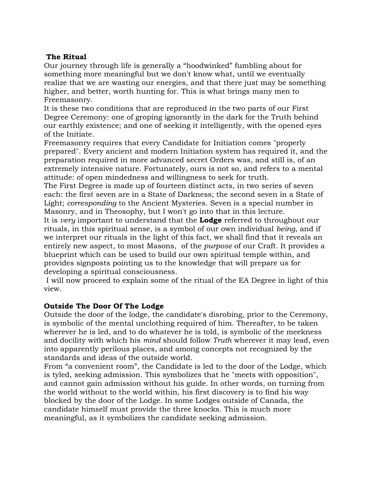# **The Ritual**

Our journey through life is generally a "hoodwinked" fumbling about for something more meaningful but we don't know what, until we eventually realize that we are wasting our energies, and that there just may be something higher, and better, worth hunting for. This is what brings many men to Freemasonry.

It is these two conditions that are reproduced in the two parts of our First Degree Ceremony: one of groping ignorantly in the dark for the Truth behind our earthly existence; and one of seeking it intelligently, with the opened eyes of the Initiate.

Freemasonry requires that every Candidate for Initiation comes "properly prepared". Every ancient and modern Initiation system has required it, and the preparation required in more advanced secret Orders was, and still is, of an extremely intensive nature. Fortunately, ours is not so, and refers to a mental attitude: of open mindedness and willingness to seek for truth.

The First Degree is made up of fourteen distinct acts, in two series of seven each: the first seven are in a State of Darkness; the second seven in a State of Light; *corresponding* to the Ancient Mysteries. Seven is a special number in Masonry, and in Theosophy, but I won't go into that in this lecture.

It is *very* important to understand that the **Lodge** referred to throughout our rituals, in this spiritual sense, is a symbol of our own individual *being*, and if we interpret our rituals in the light of this fact, we shall find that it reveals an entirely new aspect, to most Masons, of the *purpose* of our Craft. It provides a blueprint which can be used to build our own spiritual temple within, and provides signposts pointing us to the knowledge that will prepare us for developing a spiritual consciousness.

I will now proceed to explain some of the ritual of the EA Degree in light of this view.

#### **Outside The Door Of The Lodge**

Outside the door of the lodge, the candidate's disrobing, prior to the Ceremony, is symbolic of the mental unclothing required of him. Thereafter, to be taken wherever he is led, and to do whatever he is told, is symbolic of the meekness and docility with which his *mind* should follow *Truth* wherever it may lead, even into apparently perilous places, and among concepts not recognized by the standards and ideas of the outside world.

From "a convenient room", the Candidate is led to the door of the Lodge, which is tyled, seeking admission. This symbolizes that he "meets with opposition", and cannot gain admission without his guide. In other words, on turning from the world without to the world within, his first discovery is to find his way blocked by the door of the Lodge. In some Lodges outside of Canada, the candidate himself must provide the three knocks. This is much more meaningful, as it symbolizes the candidate seeking admission.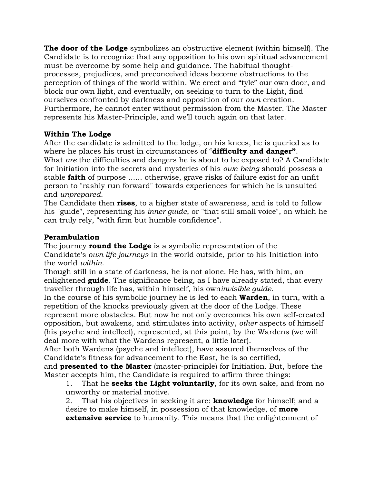**The door of the Lodge** symbolizes an obstructive element (within himself). The Candidate is to recognize that any opposition to his own spiritual advancement must be overcome by some help and guidance. The habitual thoughtprocesses, prejudices, and preconceived ideas become obstructions to the perception of things of the world within. We erect and "tyle" our own door, and block our own light, and eventually, on seeking to turn to the Light, find ourselves confronted by darkness and opposition of our *own* creation. Furthermore, he cannot enter without permission from the Master. The Master represents his Master-Principle, and we'll touch again on that later.

# **Within The Lodge**

After the candidate is admitted to the lodge, on his knees, he is queried as to where he places his trust in circumstances of "**difficulty and danger"**. What *are* the difficulties and dangers he is about to be exposed to? A Candidate for Initiation into the secrets and mysteries of his *own being* should possess a stable **faith** of purpose ...... otherwise, grave risks of failure exist for an unfit person to "rashly run forward" towards experiences for which he is unsuited and *unprepared*.

The Candidate then **rises**, to a higher state of awareness, and is told to follow his "guide", representing his *inner guide*, or "that still small voice", on which he can truly rely, "with firm but humble confidence".

## **Perambulation**

The journey **round the Lodge** is a symbolic representation of the Candidate's *own life journeys* in the world outside, prior to his Initiation into the world *within*.

Though still in a state of darkness, he is not alone. He has, with him, an enlightened **guide**. The significance being, as I have already stated, that every traveller through life has, within himself, his own*invisible guide*.

In the course of his symbolic journey he is led to each **Warden**, in turn, with a repetition of the knocks previously given at the door of the Lodge. These represent more obstacles. But now he not only overcomes his own self-created opposition, but awakens, and stimulates into activity, *other* aspects of himself (his psyche and intellect), represented, at this point, by the Wardens (we will deal more with what the Wardens represent, a little later).

After both Wardens (psyche and intellect), have assured themselves of the Candidate's fitness for advancement to the East, he is so certified,

and **presented to the Master** (master-principle) for Initiation. But, before the Master accepts him, the Candidate is required to affirm three things:

1. That he **seeks the Light voluntarily**, for its own sake, and from no unworthy or material motive.

2. That his objectives in seeking it are: **knowledge** for himself; and a desire to make himself, in possession of that knowledge, of **more extensive service** to humanity. This means that the enlightenment of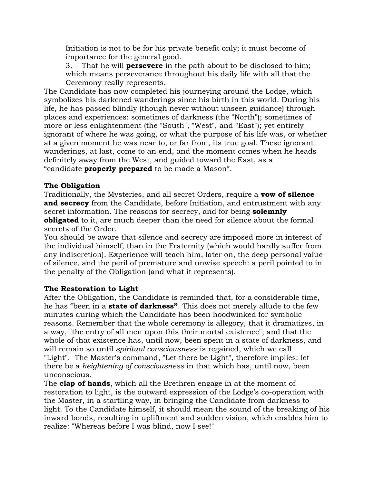Initiation is not to be for his private benefit only; it must become of importance for the general good.

3. That he will **persevere** in the path about to be disclosed to him; which means perseverance throughout his daily life with all that the Ceremony really represents.

The Candidate has now completed his journeying around the Lodge, which symbolizes his darkened wanderings since his birth in this world. During his life, he has passed blindly (though never without unseen guidance) through places and experiences: sometimes of darkness (the "North"); sometimes of more or less enlightenment (the "South", "West", and "East"); yet entirely ignorant of where he was going, or what the purpose of his life was, or whether at a given moment he was near to, or far from, its true goal. These ignorant wanderings, at last, come to an end, and the moment comes when he heads definitely away from the West, and guided toward the East, as a "candidate **properly prepared** to be made a Mason".

# **The Obligation**

Traditionally, the Mysteries, and all secret Orders, require a **vow of silence and secrecy** from the Candidate, before Initiation, and entrustment with any secret information. The reasons for secrecy, and for being **solemnly obligated** to it, are much deeper than the need for silence about the formal secrets of the Order.

You should be aware that silence and secrecy are imposed more in interest of the individual himself, than in the Fraternity (which would hardly suffer from any indiscretion). Experience will teach him, later on, the deep personal value of silence, and the peril of premature and unwise speech: a peril pointed to in the penalty of the Obligation (and what it represents).

#### **The Restoration to Light**

After the Obligation, the Candidate is reminded that, for a considerable time, he has "been in a **state of darkness"**. This does not merely allude to the few minutes during which the Candidate has been hoodwinked for symbolic reasons. Remember that the whole ceremony is allegory, that it dramatizes, in a way, "the entry of all men upon this their mortal existence"; and that the whole of that existence has, until now, been spent in a state of darkness, and will remain so until *spiritual consciousness* is regained, which we call "Light". The Master's command, "Let there be Light", therefore implies: let there be a *heightening of consciousness* in that which has, until now, been unconscious.

The **clap of hands**, which all the Brethren engage in at the moment of restoration to light, is the outward expression of the Lodge's co-operation with the Master, in a startling way, in bringing the Candidate from darkness to light. To the Candidate himself, it should mean the sound of the breaking of his inward bonds, resulting in upliftment and sudden vision, which enables him to realize: "Whereas before I was blind, now I see!"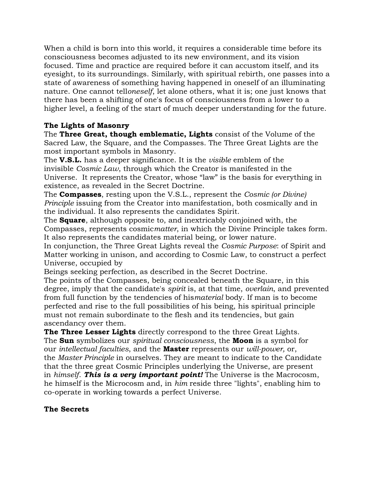When a child is born into this world, it requires a considerable time before its consciousness becomes adjusted to its new environment, and its vision focused. Time and practice are required before it can accustom itself, and its eyesight, to its surroundings. Similarly, with spiritual rebirth, one passes into a state of awareness of something having happened in oneself of an illuminating nature. One cannot tell*oneself*, let alone others, what it is; one just knows that there has been a shifting of one's focus of consciousness from a lower to a higher level, a feeling of the start of much deeper understanding for the future.

## **The Lights of Masonry**

The **Three Great, though emblematic, Lights** consist of the Volume of the Sacred Law, the Square, and the Compasses. The Three Great Lights are the most important symbols in Masonry.

The **V.S.L.** has a deeper significance. It is the *visible* emblem of the invisible *Cosmic Law*, through which the Creator is manifested in the Universe. It represents the Creator, whose "law" is the basis for everything in existence, as revealed in the Secret Doctrine.

The **Compasses**, resting upon the V.S.L., represent the *Cosmic (or Divine) Principle* issuing from the Creator into manifestation, both cosmically and in the individual. It also represents the candidates Spirit.

The **Square**, although opposite to, and inextricably conjoined with, the Compasses, represents cosmic*matter*, in which the Divine Principle takes form. It also represents the candidates material being, or lower nature.

In conjunction, the Three Great Lights reveal the *Cosmic Purpose*: of Spirit and Matter working in unison, and according to Cosmic Law, to construct a perfect Universe, occupied by

Beings seeking perfection, as described in the Secret Doctrine.

The points of the Compasses, being concealed beneath the Square, in this degree, imply that the candidate's *spirit* is, at that time, *overlain*, and prevented from full function by the tendencies of his*material* body. If man is to become perfected and rise to the full possibilities of his being, his spiritual principle must not remain subordinate to the flesh and its tendencies, but gain ascendancy over them.

**The Three Lesser Lights** directly correspond to the three Great Lights. The **Sun** symbolizes our *spiritual consciousness*, the **Moon** is a symbol for our *intellectual faculties*, and the **Master** represents our *will-power,* or, the *Master Principle* in ourselves. They are meant to indicate to the Candidate that the three great Cosmic Principles underlying the Universe, are present in *himself*. *This is a very important point!* The Universe is the Macrocosm, he himself is the Microcosm and, in *him* reside three "lights", enabling him to co-operate in working towards a perfect Universe.

# **The Secrets**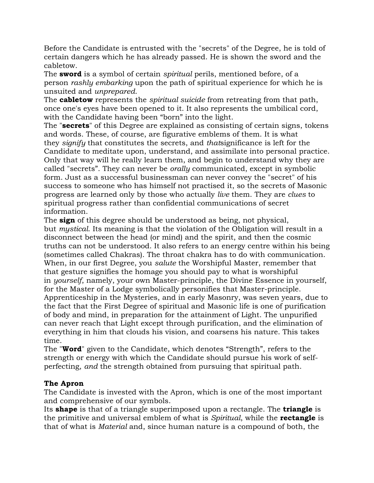Before the Candidate is entrusted with the "secrets" of the Degree, he is told of certain dangers which he has already passed. He is shown the sword and the cabletow.

The **sword** is a symbol of certain *spiritual* perils, mentioned before, of a person *rashly embarking* upon the path of spiritual experience for which he is unsuited and *unprepared*.

The **cabletow** represents the *spiritual suicide* from retreating from that path, once one's eyes have been opened to it. It also represents the umbilical cord, with the Candidate having been "born" into the light.

The "**secrets**" of this Degree are explained as consisting of certain signs, tokens and words. These, of course, are figurative emblems of them. It is what they *signify* that constitutes the secrets, and *that*significance is left for the Candidate to meditate upon, understand, and assimilate into personal practice. Only that way will he really learn them, and begin to understand why they are called "secrets". They can never be *orally* communicated, except in symbolic form. Just as a successful businessman can never convey the "secret" of his success to someone who has himself not practised it, so the secrets of Masonic progress are learned only by those who actually *live* them. They are *clues* to spiritual progress rather than confidential communications of secret information.

The **sign** of this degree should be understood as being, not physical, but *mystical*. Its meaning is that the violation of the Obligation will result in a disconnect between the head (or mind) and the spirit, and then the cosmic truths can not be understood. It also refers to an energy centre within his being (sometimes called Chakras). The throat chakra has to do with communication. When, in our first Degree, you *salute* the Worshipful Master, remember that that gesture signifies the homage you should pay to what is worshipful in *yourself*, namely, your own Master-principle, the Divine Essence in yourself, for the Master of a Lodge symbolically personifies that Master-principle. Apprenticeship in the Mysteries, and in early Masonry, was seven years, due to the fact that the First Degree of spiritual and Masonic life is one of purification of body and mind, in preparation for the attainment of Light. The unpurified can never reach that Light except through purification, and the elimination of everything in him that clouds his vision, and coarsens his nature. This takes time.

The "**Word**" given to the Candidate, which denotes "Strength", refers to the strength or energy with which the Candidate should pursue his work of selfperfecting, *and* the strength obtained from pursuing that spiritual path.

# **The Apron**

The Candidate is invested with the Apron, which is one of the most important and comprehensive of our symbols.

Its **shape** is that of a triangle superimposed upon a rectangle. The **triangle** is the primitive and universal emblem of what is *Spiritual*, while the **rectangle** is that of what is *Material* and, since human nature is a compound of both, the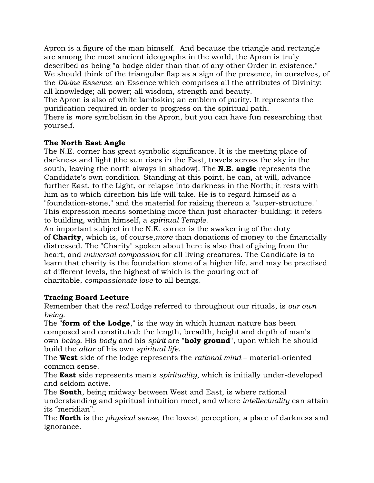Apron is a figure of the man himself. And because the triangle and rectangle are among the most ancient ideographs in the world, the Apron is truly described as being "a badge older than that of any other Order in existence." We should think of the triangular flap as a sign of the presence, in ourselves, of the *Divine Essence*: an Essence which comprises all the attributes of Divinity: all knowledge; all power; all wisdom, strength and beauty.

The Apron is also of white lambskin; an emblem of purity. It represents the purification required in order to progress on the spiritual path.

There is *more* symbolism in the Apron, but you can have fun researching that yourself.

# **The North East Angle**

The N.E. corner has great symbolic significance. It is the meeting place of darkness and light (the sun rises in the East, travels across the sky in the south, leaving the north always in shadow). The **N.E. angle** represents the Candidate's own condition. Standing at this point, he can, at will, advance further East, to the Light, or relapse into darkness in the North; it rests with him as to which direction his life will take. He is to regard himself as a "foundation-stone," and the material for raising thereon a "super-structure." This expression means something more than just character-building: it refers to building, within himself, a *spiritual Temple*.

An important subject in the N.E. corner is the awakening of the duty of **Charity**, which is, of course,*more* than donations of money to the financially distressed. The "Charity" spoken about here is also that of giving from the heart, and *universal compassion* for all living creatures. The Candidate is to learn that charity is the foundation stone of a higher life, and may be practised at different levels, the highest of which is the pouring out of charitable, *compassionate love* to all beings.

# **Tracing Board Lecture**

Remember that the *real* Lodge referred to throughout our rituals, is *our own being*.

The "**form of the Lodge**," is the way in which human nature has been composed and constituted: the length, breadth, height and depth of man's own *being*. His *body* and his *spirit* are "**holy ground**", upon which he should build the *altar* of his own *spiritual life*.

The **West** side of the lodge represents the *rational mind* – material-oriented common sense.

The **East** side represents man's *spirituality*, which is initially under-developed and seldom active.

The **South**, being midway between West and East, is where rational understanding and spiritual intuition meet, and where *intellectuality* can attain its "meridian".

The **North** is the *physical sense*, the lowest perception, a place of darkness and ignorance.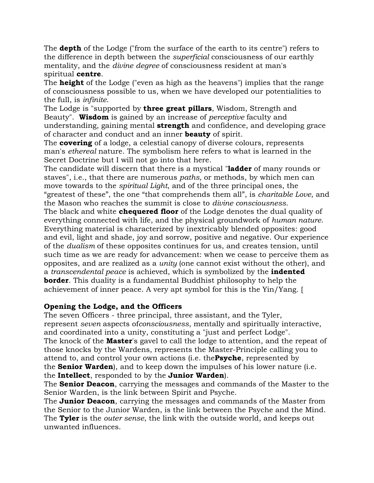The **depth** of the Lodge ("from the surface of the earth to its centre") refers to the difference in depth between the *superficial* consciousness of our earthly mentality, and the *divine degree* of consciousness resident at man's spiritual **centre**.

The **height** of the Lodge ("even as high as the heavens") implies that the range of consciousness possible to us, when we have developed our potentialities to the full, is *infinite*.

The Lodge is "supported by **three great pillars**, Wisdom, Strength and Beauty". **Wisdom** is gained by an increase of *perceptive* faculty and understanding, gaining mental **strength** and confidence, and developing grace of character and conduct and an inner **beauty** of spirit.

The **covering** of a lodge, a celestial canopy of diverse colours, represents man's *ethereal* nature. The symbolism here refers to what is learned in the Secret Doctrine but I will not go into that here.

The candidate will discern that there is a mystical "**ladder** of many rounds or staves", i.e., that there are numerous *paths,* or methods, by which men can move towards to the *spiritual Light*, and of the three principal ones, the "greatest of these", the one "that comprehends them all", is *charitable Love*, and the Mason who reaches the summit is close to *divine consciousness*.

The black and white **chequered floor** of the Lodge denotes the dual quality of everything connected with life, and the physical groundwork of *human nature*. Everything material is characterized by inextricably blended opposites: good and evil, light and shade, joy and sorrow, positive and negative. Our experience of the *dualism* of these opposites continues for us, and creates tension, until such time as we are ready for advancement: when we cease to perceive them as opposites, and are realized as a *unity* (one cannot exist without the other), and a *transcendental peace* is achieved, which is symbolized by the **indented border**. This duality is a fundamental Buddhist philosophy to help the achievement of inner peace. A very apt symbol for this is the Yin/Yang.

# **Opening the Lodge, and the Officers**

The seven Officers - three principal, three assistant, and the Tyler, represent *seven* aspects of*consciousness*, mentally and spiritually interactive, and coordinated into a unity, constituting a "just and perfect Lodge". The knock of the **Master**'s gavel to call the lodge to attention, and the repeat of those knocks by the Wardens, represents the Master-Principle calling you to attend to, and control your own actions (i.e. the**Psyche**, represented by the **Senior Warden**), and to keep down the impulses of his lower nature (i.e. the **Intellect**, responded to by the **Junior Warden**).

The **Senior Deacon**, carrying the messages and commands of the Master to the Senior Warden, is the link between Spirit and Psyche.

The **Junior Deacon**, carrying the messages and commands of the Master from the Senior to the Junior Warden, is the link between the Psyche and the Mind. The **Tyler** is the *outer sense*, the link with the outside world, and keeps out unwanted influences.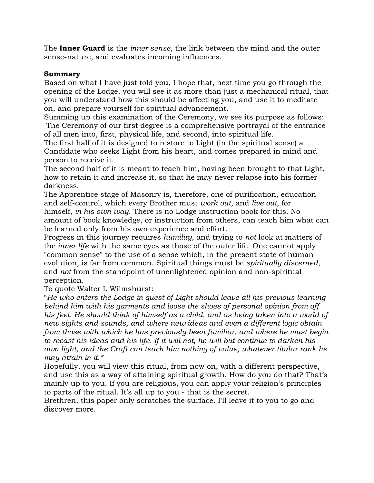The **Inner Guard** is the *inner sense*, the link between the mind and the outer sense-nature, and evaluates incoming influences.

## **Summary**

Based on what I have just told you, I hope that, next time you go through the opening of the Lodge, you will see it as more than just a mechanical ritual, that you will understand how this should be affecting you, and use it to meditate on, and prepare yourself for spiritual advancement.

Summing up this examination of the Ceremony, we see its purpose as follows: The Ceremony of our first degree is a comprehensive portrayal of the entrance of all men into, first, physical life, and second, into spiritual life.

The first half of it is designed to restore to Light (in the spiritual sense) a Candidate who seeks Light from his heart, and comes prepared in mind and person to receive it.

The second half of it is meant to teach him, having been brought to that Light, how to retain it and increase it, so that he may never relapse into his former darkness.

The Apprentice stage of Masonry is, therefore, one of purification, education and self-control, which every Brother must *work out*, and *live out*, for himself, *in his own way*. There is no Lodge instruction book for this. No amount of book knowledge, or instruction from others, can teach him what can be learned only from his own experience and effort.

Progress in this journey requires *humility*, and trying to *not* look at matters of the *inner life* with the same eyes as those of the outer life. One cannot apply "common sense" to the use of a sense which, in the present state of human evolution, is far from common. Spiritual things must be *spiritually discerned*, and *not* from the standpoint of unenlightened opinion and non-spiritual perception.

To quote Walter L Wilmshurst:

"*He who enters the Lodge in quest of Light should leave all his previous learning behind him with his garments and loose the shoes of personal opinion from off*  his feet. He should think of himself as a child, and as being taken into a world of *new sights and sounds, and where new ideas and even a different logic obtain from those with which he has previously been familiar, and where he must begin to recast his ideas and his life. If it will not, he will but continue to darken his own light, and the Craft can teach him nothing of value, whatever titular rank he may attain in it."*

Hopefully, you will view this ritual, from now on, with a different perspective, and use this as a way of attaining spiritual growth. How do you do that? That's mainly up to you. If you are religious, you can apply your religion's principles to parts of the ritual. It's all up to you - that is the secret.

Brethren, this paper only scratches the surface. I'll leave it to you to go and discover more.